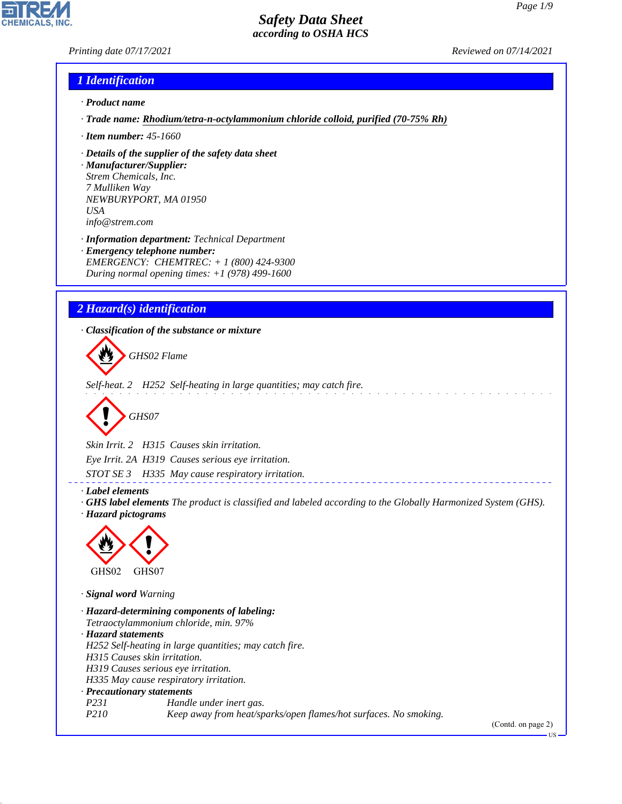

### *1 Identification*

- *· Product name*
- *· Trade name: Rhodium/tetra-n-octylammonium chloride colloid, purified (70-75% Rh)*
- *· Item number: 45-1660*
- *· Details of the supplier of the safety data sheet*
- *· Manufacturer/Supplier: Strem Chemicals, Inc. 7 Mulliken Way NEWBURYPORT, MA 01950 USA info@strem.com*
- *· Information department: Technical Department · Emergency telephone number: EMERGENCY: CHEMTREC: + 1 (800) 424-9300 During normal opening times: +1 (978) 499-1600*

# *2 Hazard(s) identification*

*· Classification of the substance or mixture*

d~*GHS02 Flame*

*Self-heat. 2 H252 Self-heating in large quantities; may catch fire.*

$$
\bigotimes \text{GHSO7}
$$

*Skin Irrit. 2 H315 Causes skin irritation. Eye Irrit. 2A H319 Causes serious eye irritation. STOT SE 3 H335 May cause respiratory irritation.*

*· Label elements*

*· GHS label elements The product is classified and labeled according to the Globally Harmonized System (GHS). · Hazard pictograms*



*· Signal word Warning*

44.1.1

*· Hazard-determining components of labeling: Tetraoctylammonium chloride, min. 97% · Hazard statements H252 Self-heating in large quantities; may catch fire. H315 Causes skin irritation. H319 Causes serious eye irritation. H335 May cause respiratory irritation. · Precautionary statements P231 Handle under inert gas. Keep away from heat/sparks/open flames/hot surfaces. No smoking.* 

(Contd. on page 2)

US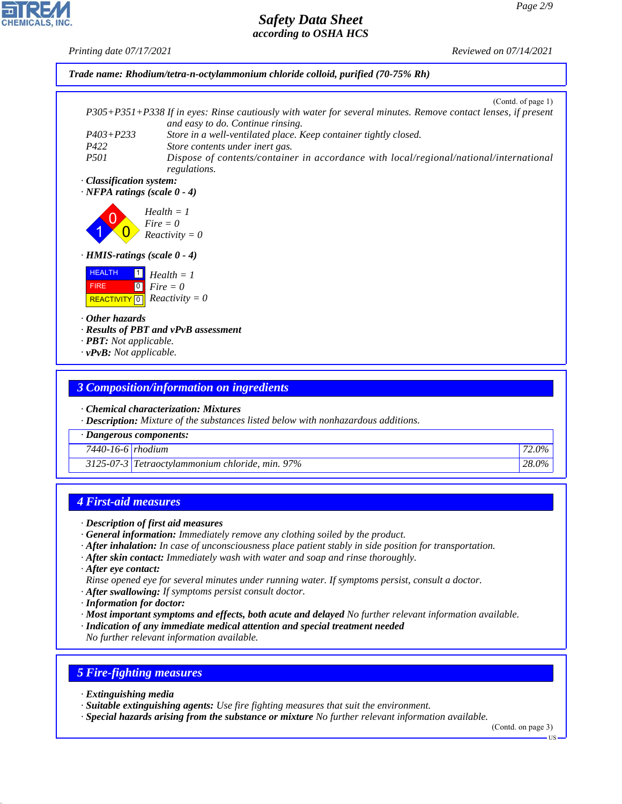*Printing date 07/17/2021 Reviewed on 07/14/2021*



### *3 Composition/information on ingredients*

*· Chemical characterization: Mixtures*

*· Description: Mixture of the substances listed below with nonhazardous additions.*

| Dangerous components:   |                                                   |          |
|-------------------------|---------------------------------------------------|----------|
| $7440 - 16 - 6$ rhodium |                                                   | $.2.0\%$ |
|                         | $3125-07-3$ Tetraoctylammonium chloride, min. 97% | 28.0%    |

### *4 First-aid measures*

- *· General information: Immediately remove any clothing soiled by the product.*
- *· After inhalation: In case of unconsciousness place patient stably in side position for transportation.*
- *· After skin contact: Immediately wash with water and soap and rinse thoroughly.*
- *· After eye contact:*
- *Rinse opened eye for several minutes under running water. If symptoms persist, consult a doctor.*
- *· After swallowing: If symptoms persist consult doctor.*
- *· Information for doctor:*
- *· Most important symptoms and effects, both acute and delayed No further relevant information available.*
- *· Indication of any immediate medical attention and special treatment needed*
- *No further relevant information available.*

### *5 Fire-fighting measures*

*· Extinguishing media*

44.1.1

- *· Suitable extinguishing agents: Use fire fighting measures that suit the environment.*
- *· Special hazards arising from the substance or mixture No further relevant information available.*

(Contd. on page 3)

*<sup>·</sup> Description of first aid measures*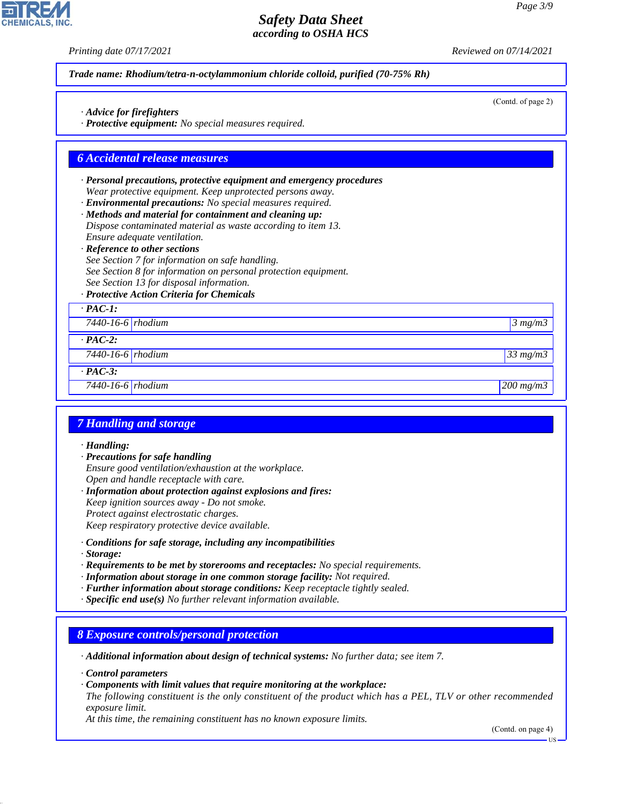(Contd. of page 2)

# *Safety Data Sheet according to OSHA HCS*

*Printing date 07/17/2021 Reviewed on 07/14/2021*

*Trade name: Rhodium/tetra-n-octylammonium chloride colloid, purified (70-75% Rh)*

- *· Advice for firefighters*
- *· Protective equipment: No special measures required.*

#### *6 Accidental release measures*

- *· Personal precautions, protective equipment and emergency procedures Wear protective equipment. Keep unprotected persons away.*
- *· Environmental precautions: No special measures required.*
- *· Methods and material for containment and cleaning up: Dispose contaminated material as waste according to item 13.*
- *Ensure adequate ventilation.*
- *· Reference to other sections*
- *See Section 7 for information on safe handling. See Section 8 for information on personal protection equipment. See Section 13 for disposal information.*
- *· Protective Action Criteria for Chemicals*
- *· PAC-1:*

*7440-16-6 rhodium 3 mg/m3*

*· PAC-2:*

*7440-16-6 rhodium 33 mg/m3*

- *· PAC-3:*
- *7440-16-6 rhodium 200 mg/m3*

### *7 Handling and storage*

#### *· Handling:*

- *· Precautions for safe handling Ensure good ventilation/exhaustion at the workplace.*
- *Open and handle receptacle with care. · Information about protection against explosions and fires: Keep ignition sources away - Do not smoke. Protect against electrostatic charges. Keep respiratory protective device available.*
- *· Conditions for safe storage, including any incompatibilities*
- *· Storage:*
- *· Requirements to be met by storerooms and receptacles: No special requirements.*
- *· Information about storage in one common storage facility: Not required.*
- *· Further information about storage conditions: Keep receptacle tightly sealed.*
- *· Specific end use(s) No further relevant information available.*

### *8 Exposure controls/personal protection*

*· Additional information about design of technical systems: No further data; see item 7.*

*· Control parameters*

44.1.1

*· Components with limit values that require monitoring at the workplace:*

*The following constituent is the only constituent of the product which has a PEL, TLV or other recommended exposure limit.*

*At this time, the remaining constituent has no known exposure limits.*

(Contd. on page 4)

US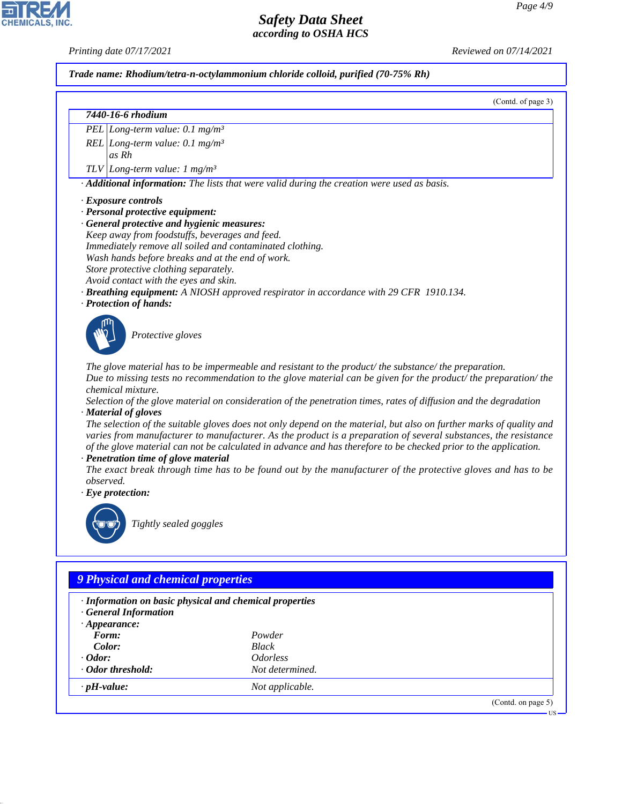*Printing date 07/17/2021 Reviewed on 07/14/2021*

#### *Trade name: Rhodium/tetra-n-octylammonium chloride colloid, purified (70-75% Rh)*

(Contd. of page 3)

### *7440-16-6 rhodium*

*PEL Long-term value: 0.1 mg/m³*

*REL Long-term value: 0.1 mg/m³ as Rh*

*TLV Long-term value: 1 mg/m³*

*· Additional information: The lists that were valid during the creation were used as basis.*

- *· Exposure controls*
- *· Personal protective equipment:*
- *· General protective and hygienic measures: Keep away from foodstuffs, beverages and feed. Immediately remove all soiled and contaminated clothing. Wash hands before breaks and at the end of work. Store protective clothing separately. Avoid contact with the eyes and skin.*
- *· Breathing equipment: A NIOSH approved respirator in accordance with 29 CFR 1910.134.*
- *· Protection of hands:*



\_S*Protective gloves*

*The glove material has to be impermeable and resistant to the product/ the substance/ the preparation. Due to missing tests no recommendation to the glove material can be given for the product/ the preparation/ the chemical mixture.*

*Selection of the glove material on consideration of the penetration times, rates of diffusion and the degradation · Material of gloves*

*The selection of the suitable gloves does not only depend on the material, but also on further marks of quality and varies from manufacturer to manufacturer. As the product is a preparation of several substances, the resistance of the glove material can not be calculated in advance and has therefore to be checked prior to the application.*

*· Penetration time of glove material*

*The exact break through time has to be found out by the manufacturer of the protective gloves and has to be observed.*

*· Eye protection:*



\_R*Tightly sealed goggles*

# *9 Physical and chemical properties*

- *· Information on basic physical and chemical properties · General Information*
- *· Appearance:*

44.1.1

| $\iota$ rppearance. |                 |
|---------------------|-----------------|
| Form:               | Powder          |
| Color:              | Black           |
| $\cdot$ Odor:       | <i>Odorless</i> |
| · Odor threshold:   | Not determined. |
| $\cdot$ pH-value:   | Not applicable. |

(Contd. on page 5)

US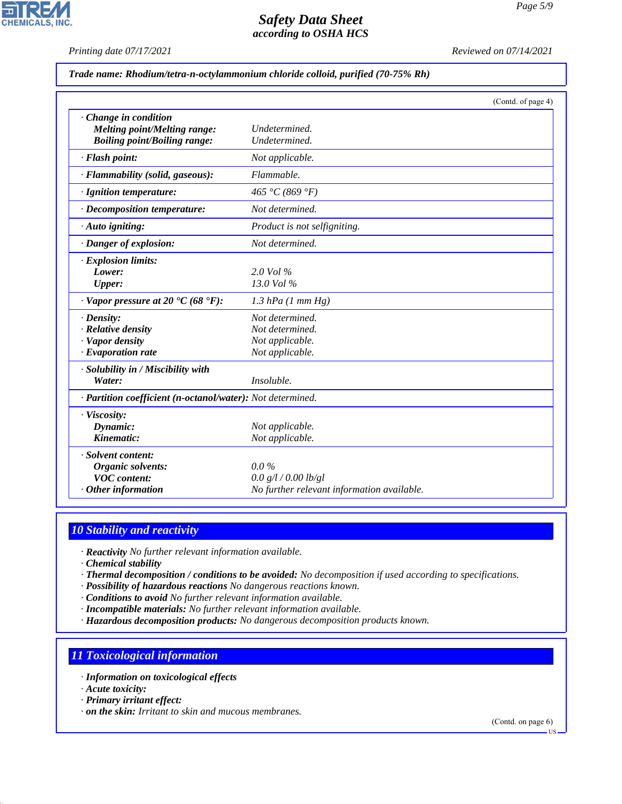*Printing date 07/17/2021 Reviewed on 07/14/2021*

#### *Trade name: Rhodium/tetra-n-octylammonium chloride colloid, purified (70-75% Rh)*

|                                                                    | (Contd. of page 4)                         |
|--------------------------------------------------------------------|--------------------------------------------|
| Change in condition                                                |                                            |
| <b>Melting point/Melting range:</b>                                | Undetermined.                              |
| <b>Boiling point/Boiling range:</b>                                | Undetermined.                              |
| · Flash point:                                                     | Not applicable.                            |
| · Flammability (solid, gaseous):                                   | Flammable.                                 |
| · Ignition temperature:                                            | 465 °C (869 °F)                            |
| · Decomposition temperature:                                       | Not determined.                            |
| $\cdot$ Auto igniting:                                             | Product is not selfigniting.               |
| · Danger of explosion:                                             | Not determined.                            |
| · Explosion limits:                                                |                                            |
| Lower:                                                             | $2.0$ Vol $\%$                             |
| Upper:                                                             | 13.0 Vol %                                 |
| $\cdot$ Vapor pressure at 20 $\textdegree$ C (68 $\textdegree$ F): | $1.3$ hPa $(1$ mm $Hg)$                    |
| · Density:                                                         | Not determined.                            |
| $\cdot$ Relative density                                           | Not determined.                            |
| · Vapor density                                                    | Not applicable.                            |
| $\cdot$ Evaporation rate                                           | Not applicable.                            |
| · Solubility in / Miscibility with                                 |                                            |
| Water:                                                             | Insoluble.                                 |
| · Partition coefficient (n-octanol/water): Not determined.         |                                            |
| · Viscosity:                                                       |                                            |
| Dynamic:                                                           | Not applicable.                            |
| Kinematic:                                                         | Not applicable.                            |
| · Solvent content:                                                 |                                            |
| Organic solvents:                                                  | $0.0\%$                                    |
| <b>VOC</b> content:                                                | 0.0 g/l / 0.00 lb/gl                       |
| $·$ Other information                                              | No further relevant information available. |

# *10 Stability and reactivity*

*· Reactivity No further relevant information available.*

*· Chemical stability*

*· Thermal decomposition / conditions to be avoided: No decomposition if used according to specifications.*

*· Possibility of hazardous reactions No dangerous reactions known.*

*· Conditions to avoid No further relevant information available.*

- *· Incompatible materials: No further relevant information available.*
- *· Hazardous decomposition products: No dangerous decomposition products known.*

# *11 Toxicological information*

- *· Information on toxicological effects*
- *· Acute toxicity:*

44.1.1

- *· Primary irritant effect:*
- *· on the skin: Irritant to skin and mucous membranes.*

(Contd. on page 6)

US

*Page 5/9*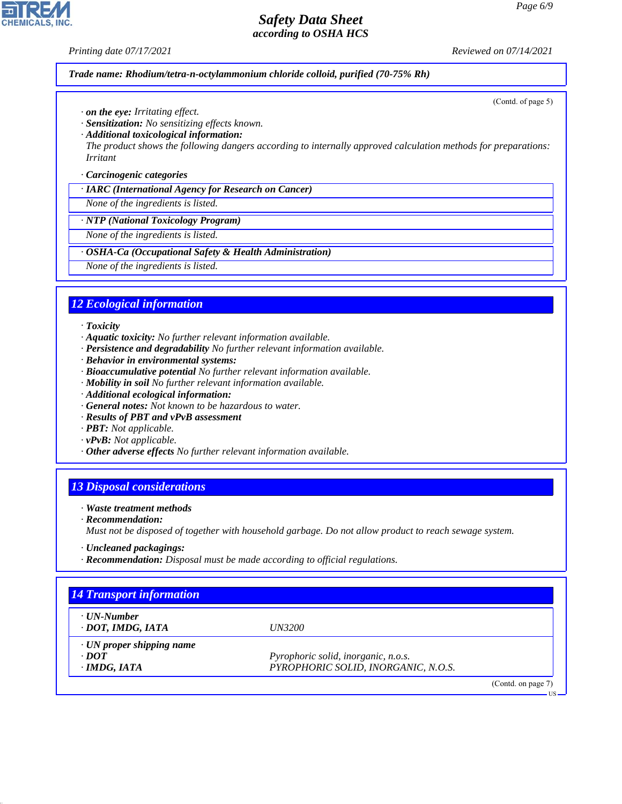**CHEMICALS, INC** 

*Printing date 07/17/2021 Reviewed on 07/14/2021*

(Contd. of page 5)

*Trade name: Rhodium/tetra-n-octylammonium chloride colloid, purified (70-75% Rh)*

- *· on the eye: Irritating effect.*
- *· Sensitization: No sensitizing effects known.*
- *· Additional toxicological information:*

*The product shows the following dangers according to internally approved calculation methods for preparations: Irritant*

#### *· Carcinogenic categories*

*· IARC (International Agency for Research on Cancer)*

*None of the ingredients is listed.*

*· NTP (National Toxicology Program)*

*None of the ingredients is listed.*

- *· OSHA-Ca (Occupational Safety & Health Administration)*
- *None of the ingredients is listed.*

# *12 Ecological information*

*· Toxicity*

- *· Aquatic toxicity: No further relevant information available.*
- *· Persistence and degradability No further relevant information available.*
- *· Behavior in environmental systems:*
- *· Bioaccumulative potential No further relevant information available.*
- *· Mobility in soil No further relevant information available.*
- *· Additional ecological information:*
- *· General notes: Not known to be hazardous to water.*
- *· Results of PBT and vPvB assessment*
- *· PBT: Not applicable.*
- *· vPvB: Not applicable.*
- *· Other adverse effects No further relevant information available.*

### *13 Disposal considerations*

- *· Waste treatment methods*
- *· Recommendation:*

44.1.1

*Must not be disposed of together with household garbage. Do not allow product to reach sewage system.*

- *· Uncleaned packagings:*
- *· Recommendation: Disposal must be made according to official regulations.*

| · UN-Number                     |                                     |  |
|---------------------------------|-------------------------------------|--|
| · DOT, IMDG, IATA               | <i>UN3200</i>                       |  |
| $\cdot$ UN proper shipping name |                                     |  |
| $\cdot$ DOT                     | Pyrophoric solid, inorganic, n.o.s. |  |
| $\cdot$ IMDG, IATA              | PYROPHORIC SOLID, INORGANIC, N.O.S. |  |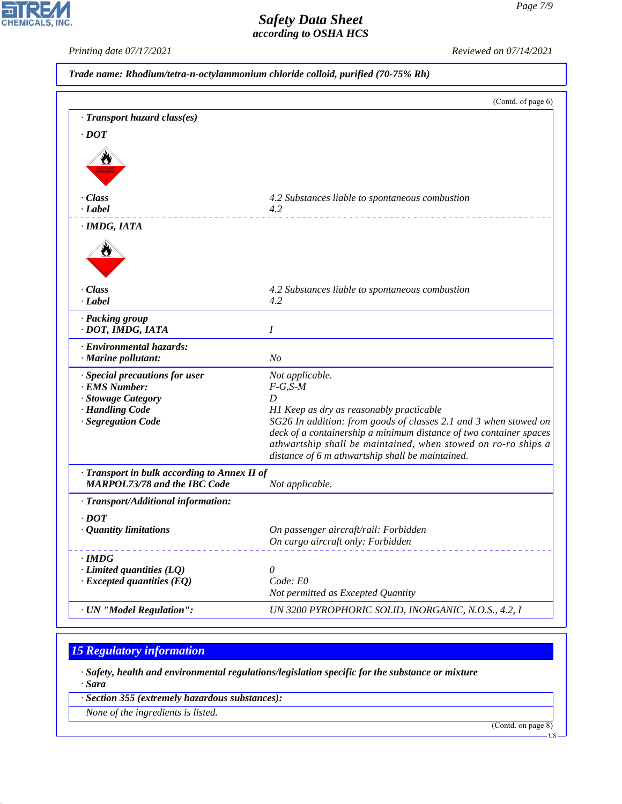CHEMICALS, INC.

*Printing date 07/17/2021 Reviewed on 07/14/2021*

|                                                                                                                | (Contd. of page 6)                                                                                                                                                                                                                                                                                                                            |
|----------------------------------------------------------------------------------------------------------------|-----------------------------------------------------------------------------------------------------------------------------------------------------------------------------------------------------------------------------------------------------------------------------------------------------------------------------------------------|
| · Transport hazard class(es)                                                                                   |                                                                                                                                                                                                                                                                                                                                               |
| $\cdot$ DOT                                                                                                    |                                                                                                                                                                                                                                                                                                                                               |
|                                                                                                                |                                                                                                                                                                                                                                                                                                                                               |
| · Class                                                                                                        | 4.2 Substances liable to spontaneous combustion                                                                                                                                                                                                                                                                                               |
| · Label                                                                                                        | 4.2                                                                                                                                                                                                                                                                                                                                           |
| · IMDG, IATA                                                                                                   |                                                                                                                                                                                                                                                                                                                                               |
| · Class                                                                                                        | 4.2 Substances liable to spontaneous combustion                                                                                                                                                                                                                                                                                               |
| $\cdot$ <i>Label</i>                                                                                           | 4.2                                                                                                                                                                                                                                                                                                                                           |
| · Packing group                                                                                                |                                                                                                                                                                                                                                                                                                                                               |
| · DOT, IMDG, IATA                                                                                              | $\boldsymbol{I}$                                                                                                                                                                                                                                                                                                                              |
| · Environmental hazards:<br>· Marine pollutant:                                                                | N <sub>O</sub>                                                                                                                                                                                                                                                                                                                                |
| · Special precautions for user<br>· EMS Number:<br>· Stowage Category<br>· Handling Code<br>· Segregation Code | Not applicable.<br>$F-G, S-M$<br>D<br>H1 Keep as dry as reasonably practicable<br>SG26 In addition: from goods of classes 2.1 and 3 when stowed on<br>deck of a containership a minimum distance of two container spaces<br>athwartship shall be maintained, when stowed on ro-ro ships a<br>distance of 6 m athwartship shall be maintained. |
| · Transport in bulk according to Annex II of<br><b>MARPOL73/78 and the IBC Code</b>                            | Not applicable.                                                                                                                                                                                                                                                                                                                               |
| · Transport/Additional information:                                                                            |                                                                                                                                                                                                                                                                                                                                               |
| $\cdot$ DOT<br><b>Quantity limitations</b>                                                                     | On passenger aircraft/rail: Forbidden<br>On cargo aircraft only: Forbidden                                                                                                                                                                                                                                                                    |
| $\cdot$ IMDG<br>$\cdot$ Limited quantities (LQ)<br>$\cdot$ Excepted quantities (EQ)                            | 0<br>Code: E0<br>Not permitted as Excepted Quantity                                                                                                                                                                                                                                                                                           |
| · UN "Model Regulation":                                                                                       | UN 3200 PYROPHORIC SOLID, INORGANIC, N.O.S., 4.2, I                                                                                                                                                                                                                                                                                           |

# *15 Regulatory information*

44.1.1

*· Safety, health and environmental regulations/legislation specific for the substance or mixture · Sara*

*· Section 355 (extremely hazardous substances):*

*None of the ingredients is listed.*

(Contd. on page 8)

US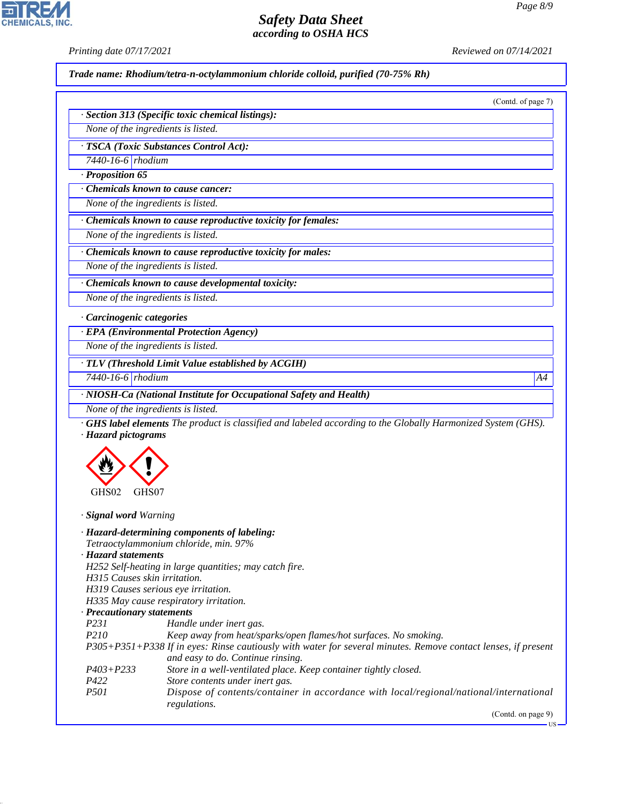*Printing date 07/17/2021 Reviewed on 07/14/2021*

CHEMICALS, INC.

44.1.1

*Trade name: Rhodium/tetra-n-octylammonium chloride colloid, purified (70-75% Rh)*

|                                                                                                                            | Trade name: Rhodium/tetra-n-octylammonium chloride colloid, purified (70-75% Rh)                                                                                                                                                                                                                                                                                                                                                                                                                                                                                                             |
|----------------------------------------------------------------------------------------------------------------------------|----------------------------------------------------------------------------------------------------------------------------------------------------------------------------------------------------------------------------------------------------------------------------------------------------------------------------------------------------------------------------------------------------------------------------------------------------------------------------------------------------------------------------------------------------------------------------------------------|
|                                                                                                                            | (Contd. of page 7)                                                                                                                                                                                                                                                                                                                                                                                                                                                                                                                                                                           |
|                                                                                                                            | · Section 313 (Specific toxic chemical listings):                                                                                                                                                                                                                                                                                                                                                                                                                                                                                                                                            |
| None of the ingredients is listed.                                                                                         |                                                                                                                                                                                                                                                                                                                                                                                                                                                                                                                                                                                              |
|                                                                                                                            | · TSCA (Toxic Substances Control Act):                                                                                                                                                                                                                                                                                                                                                                                                                                                                                                                                                       |
| 7440-16-6 rhodium                                                                                                          |                                                                                                                                                                                                                                                                                                                                                                                                                                                                                                                                                                                              |
| · Proposition 65                                                                                                           |                                                                                                                                                                                                                                                                                                                                                                                                                                                                                                                                                                                              |
|                                                                                                                            | Chemicals known to cause cancer:                                                                                                                                                                                                                                                                                                                                                                                                                                                                                                                                                             |
| None of the ingredients is listed.                                                                                         |                                                                                                                                                                                                                                                                                                                                                                                                                                                                                                                                                                                              |
|                                                                                                                            | · Chemicals known to cause reproductive toxicity for females:                                                                                                                                                                                                                                                                                                                                                                                                                                                                                                                                |
| None of the ingredients is listed.                                                                                         |                                                                                                                                                                                                                                                                                                                                                                                                                                                                                                                                                                                              |
|                                                                                                                            | · Chemicals known to cause reproductive toxicity for males:                                                                                                                                                                                                                                                                                                                                                                                                                                                                                                                                  |
| None of the ingredients is listed.                                                                                         |                                                                                                                                                                                                                                                                                                                                                                                                                                                                                                                                                                                              |
|                                                                                                                            | · Chemicals known to cause developmental toxicity:                                                                                                                                                                                                                                                                                                                                                                                                                                                                                                                                           |
| None of the ingredients is listed.                                                                                         |                                                                                                                                                                                                                                                                                                                                                                                                                                                                                                                                                                                              |
| Carcinogenic categories                                                                                                    |                                                                                                                                                                                                                                                                                                                                                                                                                                                                                                                                                                                              |
|                                                                                                                            | · EPA (Environmental Protection Agency)                                                                                                                                                                                                                                                                                                                                                                                                                                                                                                                                                      |
| None of the ingredients is listed.                                                                                         |                                                                                                                                                                                                                                                                                                                                                                                                                                                                                                                                                                                              |
|                                                                                                                            | · TLV (Threshold Limit Value established by ACGIH)                                                                                                                                                                                                                                                                                                                                                                                                                                                                                                                                           |
| 7440-16-6 rhodium                                                                                                          | A4                                                                                                                                                                                                                                                                                                                                                                                                                                                                                                                                                                                           |
|                                                                                                                            | · NIOSH-Ca (National Institute for Occupational Safety and Health)                                                                                                                                                                                                                                                                                                                                                                                                                                                                                                                           |
| None of the ingredients is listed.                                                                                         |                                                                                                                                                                                                                                                                                                                                                                                                                                                                                                                                                                                              |
| · Hazard pictograms                                                                                                        | GHS label elements The product is classified and labeled according to the Globally Harmonized System (GHS).                                                                                                                                                                                                                                                                                                                                                                                                                                                                                  |
| GHS02<br>GHS07                                                                                                             |                                                                                                                                                                                                                                                                                                                                                                                                                                                                                                                                                                                              |
| · Signal word Warning                                                                                                      |                                                                                                                                                                                                                                                                                                                                                                                                                                                                                                                                                                                              |
| · Hazard statements<br>H315 Causes skin irritation.<br>· Precautionary statements<br>P231<br>P210<br>$P403 + P233$<br>P422 | · Hazard-determining components of labeling:<br>Tetraoctylammonium chloride, min. 97%<br>H252 Self-heating in large quantities; may catch fire.<br>H319 Causes serious eye irritation.<br>H335 May cause respiratory irritation.<br>Handle under inert gas.<br>Keep away from heat/sparks/open flames/hot surfaces. No smoking.<br>P305+P351+P338 If in eyes: Rinse cautiously with water for several minutes. Remove contact lenses, if present<br>and easy to do. Continue rinsing.<br>Store in a well-ventilated place. Keep container tightly closed.<br>Store contents under inert gas. |
| P501                                                                                                                       | Dispose of contents/container in accordance with local/regional/national/international                                                                                                                                                                                                                                                                                                                                                                                                                                                                                                       |
|                                                                                                                            | regulations.<br>(Contd. on page 9)                                                                                                                                                                                                                                                                                                                                                                                                                                                                                                                                                           |

 $-US$